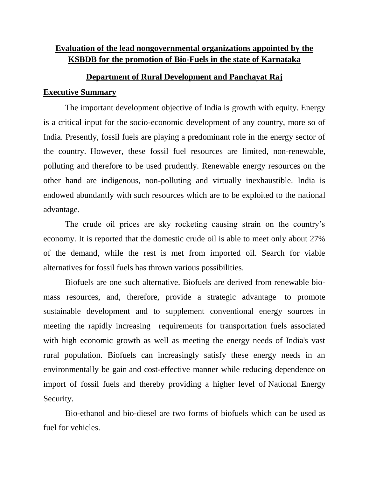# **Evaluation of the lead nongovernmental organizations appointed by the KSBDB for the promotion of Bio-Fuels in the state of Karnataka**

## **Department of Rural Development and Panchayat Raj**

## **Executive Summary**

The important development objective of India is growth with equity. Energy is a critical input for the socio-economic development of any country, more so of India. Presently, fossil fuels are playing a predominant role in the energy sector of the country. However, these fossil fuel resources are limited, non-renewable, polluting and therefore to be used prudently. Renewable energy resources on the other hand are indigenous, non-polluting and virtually inexhaustible. India is endowed abundantly with such resources which are to be exploited to the national advantage.

The crude oil prices are sky rocketing causing strain on the country's economy. It is reported that the domestic crude oil is able to meet only about 27% of the demand, while the rest is met from imported oil. Search for viable alternatives for fossil fuels has thrown various possibilities.

Biofuels are one such alternative. Biofuels are derived from renewable biomass resources, and, therefore, provide a strategic advantage to promote sustainable development and to supplement conventional energy sources in meeting the rapidly increasing requirements for transportation fuels associated with high economic growth as well as meeting the energy needs of India's vast rural population. Biofuels can increasingly satisfy these energy needs in an environmentally be gain and cost-effective manner while reducing dependence on import of fossil fuels and thereby providing a higher level of National Energy Security.

Bio-ethanol and bio-diesel are two forms of biofuels which can be used as fuel for vehicles.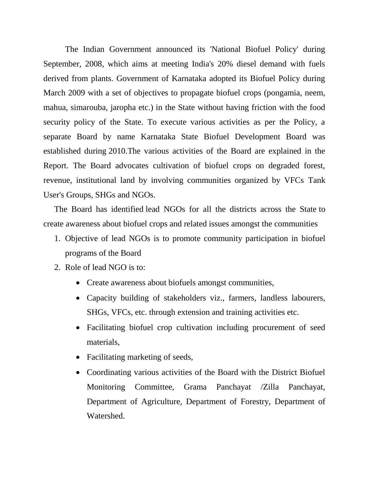The Indian Government announced its 'National Biofuel Policy' during September, 2008, which aims at meeting India's 20% diesel demand with fuels derived from plants. Government of Karnataka adopted its Biofuel Policy during March 2009 with a set of objectives to propagate biofuel crops (pongamia, neem, mahua, simarouba, jaropha etc.) in the State without having friction with the food security policy of the State. To execute various activities as per the Policy, a separate Board by name Karnataka State Biofuel Development Board was established during 2010.The various activities of the Board are explained in the Report. The Board advocates cultivation of biofuel crops on degraded forest, revenue, institutional land by involving communities organized by VFCs Tank User's Groups, SHGs and NGOs.

The Board has identified lead NGOs for all the districts across the State to create awareness about biofuel crops and related issues amongst the communities

- 1. Objective of lead NGOs is to promote community participation in biofuel programs of the Board
- 2. Role of lead NGO is to:
	- Create awareness about biofuels amongst communities,
	- Capacity building of stakeholders viz., farmers, landless labourers, SHGs, VFCs, etc. through extension and training activities etc.
	- Facilitating biofuel crop cultivation including procurement of seed materials,
	- Facilitating marketing of seeds,
	- Coordinating various activities of the Board with the District Biofuel Monitoring Committee, Grama Panchayat /Zilla Panchayat, Department of Agriculture, Department of Forestry, Department of Watershed.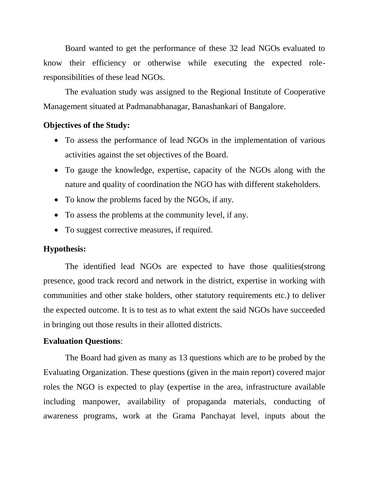Board wanted to get the performance of these 32 lead NGOs evaluated to know their efficiency or otherwise while executing the expected roleresponsibilities of these lead NGOs.

The evaluation study was assigned to the Regional Institute of Cooperative Management situated at Padmanabhanagar, Banashankari of Bangalore.

#### **Objectives of the Study:**

- To assess the performance of lead NGOs in the implementation of various activities against the set objectives of the Board.
- To gauge the knowledge, expertise, capacity of the NGOs along with the nature and quality of coordination the NGO has with different stakeholders.
- To know the problems faced by the NGOs, if any.
- To assess the problems at the community level, if any.
- To suggest corrective measures, if required.

### **Hypothesis:**

The identified lead NGOs are expected to have those qualities(strong presence, good track record and network in the district, expertise in working with communities and other stake holders, other statutory requirements etc.) to deliver the expected outcome. It is to test as to what extent the said NGOs have succeeded in bringing out those results in their allotted districts.

#### **Evaluation Questions**:

The Board had given as many as 13 questions which are to be probed by the Evaluating Organization. These questions (given in the main report) covered major roles the NGO is expected to play (expertise in the area, infrastructure available including manpower, availability of propaganda materials, conducting of awareness programs, work at the Grama Panchayat level, inputs about the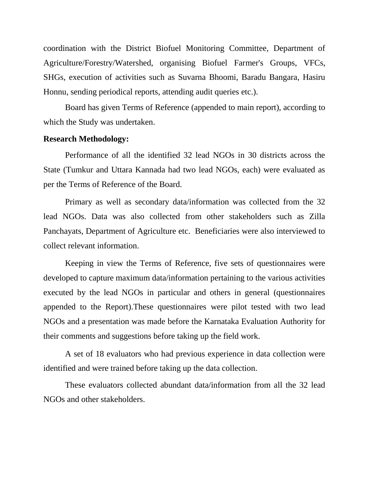coordination with the District Biofuel Monitoring Committee, Department of Agriculture/Forestry/Watershed, organising Biofuel Farmer's Groups, VFCs, SHGs, execution of activities such as Suvarna Bhoomi, Baradu Bangara, Hasiru Honnu, sending periodical reports, attending audit queries etc.).

Board has given Terms of Reference (appended to main report), according to which the Study was undertaken.

## **Research Methodology:**

Performance of all the identified 32 lead NGOs in 30 districts across the State (Tumkur and Uttara Kannada had two lead NGOs, each) were evaluated as per the Terms of Reference of the Board.

Primary as well as secondary data/information was collected from the 32 lead NGOs. Data was also collected from other stakeholders such as Zilla Panchayats, Department of Agriculture etc. Beneficiaries were also interviewed to collect relevant information.

Keeping in view the Terms of Reference, five sets of questionnaires were developed to capture maximum data/information pertaining to the various activities executed by the lead NGOs in particular and others in general (questionnaires appended to the Report).These questionnaires were pilot tested with two lead NGOs and a presentation was made before the Karnataka Evaluation Authority for their comments and suggestions before taking up the field work.

A set of 18 evaluators who had previous experience in data collection were identified and were trained before taking up the data collection.

These evaluators collected abundant data/information from all the 32 lead NGOs and other stakeholders.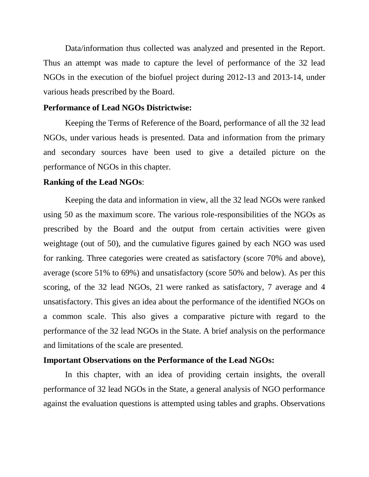Data/information thus collected was analyzed and presented in the Report. Thus an attempt was made to capture the level of performance of the 32 lead NGOs in the execution of the biofuel project during 2012-13 and 2013-14, under various heads prescribed by the Board.

#### **Performance of Lead NGOs Districtwise:**

Keeping the Terms of Reference of the Board, performance of all the 32 lead NGOs, under various heads is presented. Data and information from the primary and secondary sources have been used to give a detailed picture on the performance of NGOs in this chapter.

#### **Ranking of the Lead NGOs**:

Keeping the data and information in view, all the 32 lead NGOs were ranked using 50 as the maximum score. The various role-responsibilities of the NGOs as prescribed by the Board and the output from certain activities were given weightage (out of 50), and the cumulative figures gained by each NGO was used for ranking. Three categories were created as satisfactory (score 70% and above), average (score 51% to 69%) and unsatisfactory (score 50% and below). As per this scoring, of the 32 lead NGOs, 21 were ranked as satisfactory, 7 average and 4 unsatisfactory. This gives an idea about the performance of the identified NGOs on a common scale. This also gives a comparative picture with regard to the performance of the 32 lead NGOs in the State. A brief analysis on the performance and limitations of the scale are presented.

#### **Important Observations on the Performance of the Lead NGOs:**

In this chapter, with an idea of providing certain insights, the overall performance of 32 lead NGOs in the State, a general analysis of NGO performance against the evaluation questions is attempted using tables and graphs. Observations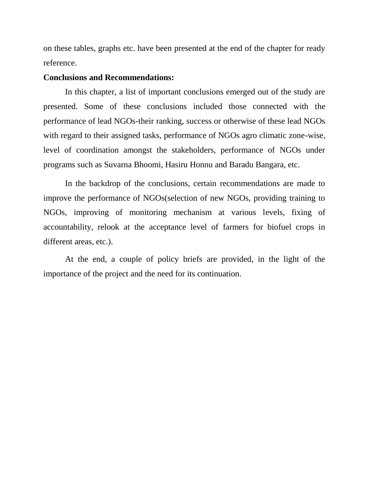on these tables, graphs etc. have been presented at the end of the chapter for ready reference.

#### **Conclusions and Recommendations:**

In this chapter, a list of important conclusions emerged out of the study are presented. Some of these conclusions included those connected with the performance of lead NGOs-their ranking, success or otherwise of these lead NGOs with regard to their assigned tasks, performance of NGOs agro climatic zone-wise, level of coordination amongst the stakeholders, performance of NGOs under programs such as Suvarna Bhoomi, Hasiru Honnu and Baradu Bangara, etc.

In the backdrop of the conclusions, certain recommendations are made to improve the performance of NGOs(selection of new NGOs, providing training to NGOs, improving of monitoring mechanism at various levels, fixing of accountability, relook at the acceptance level of farmers for biofuel crops in different areas, etc.).

At the end, a couple of policy briefs are provided, in the light of the importance of the project and the need for its continuation.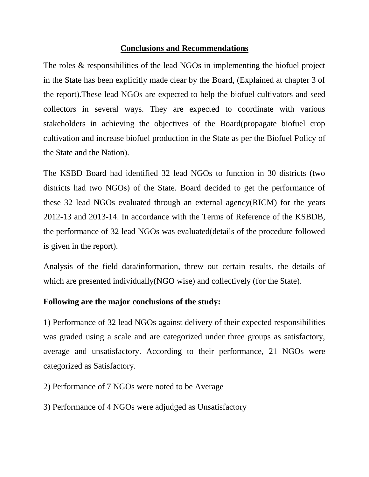## **Conclusions and Recommendations**

The roles & responsibilities of the lead NGOs in implementing the biofuel project in the State has been explicitly made clear by the Board, (Explained at chapter 3 of the report).These lead NGOs are expected to help the biofuel cultivators and seed collectors in several ways. They are expected to coordinate with various stakeholders in achieving the objectives of the Board(propagate biofuel crop cultivation and increase biofuel production in the State as per the Biofuel Policy of the State and the Nation).

The KSBD Board had identified 32 lead NGOs to function in 30 districts (two districts had two NGOs) of the State. Board decided to get the performance of these 32 lead NGOs evaluated through an external agency(RICM) for the years 2012-13 and 2013-14. In accordance with the Terms of Reference of the KSBDB, the performance of 32 lead NGOs was evaluated(details of the procedure followed is given in the report).

Analysis of the field data/information, threw out certain results, the details of which are presented individually (NGO wise) and collectively (for the State).

## **Following are the major conclusions of the study:**

1) Performance of 32 lead NGOs against delivery of their expected responsibilities was graded using a scale and are categorized under three groups as satisfactory, average and unsatisfactory. According to their performance, 21 NGOs were categorized as Satisfactory.

2) Performance of 7 NGOs were noted to be Average

3) Performance of 4 NGOs were adjudged as Unsatisfactory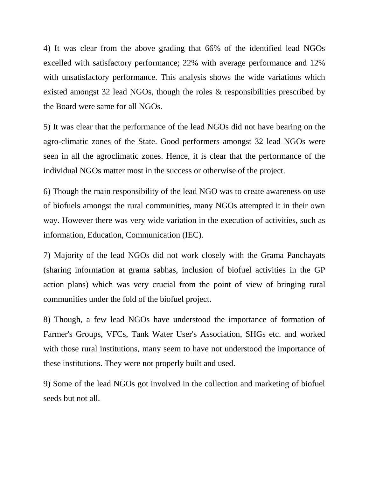4) It was clear from the above grading that 66% of the identified lead NGOs excelled with satisfactory performance; 22% with average performance and 12% with unsatisfactory performance. This analysis shows the wide variations which existed amongst 32 lead NGOs, though the roles & responsibilities prescribed by the Board were same for all NGOs.

5) It was clear that the performance of the lead NGOs did not have bearing on the agro-climatic zones of the State. Good performers amongst 32 lead NGOs were seen in all the agroclimatic zones. Hence, it is clear that the performance of the individual NGOs matter most in the success or otherwise of the project.

6) Though the main responsibility of the lead NGO was to create awareness on use of biofuels amongst the rural communities, many NGOs attempted it in their own way. However there was very wide variation in the execution of activities, such as information, Education, Communication (IEC).

7) Majority of the lead NGOs did not work closely with the Grama Panchayats (sharing information at grama sabhas, inclusion of biofuel activities in the GP action plans) which was very crucial from the point of view of bringing rural communities under the fold of the biofuel project.

8) Though, a few lead NGOs have understood the importance of formation of Farmer's Groups, VFCs, Tank Water User's Association, SHGs etc. and worked with those rural institutions, many seem to have not understood the importance of these institutions. They were not properly built and used.

9) Some of the lead NGOs got involved in the collection and marketing of biofuel seeds but not all.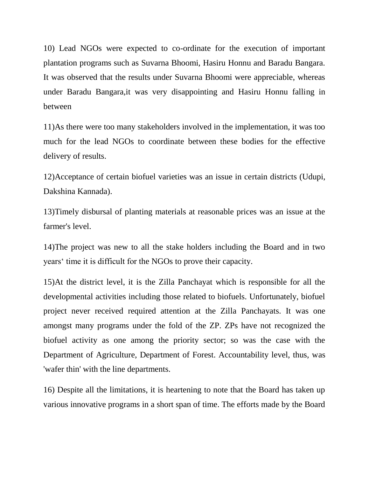10) Lead NGOs were expected to co-ordinate for the execution of important plantation programs such as Suvarna Bhoomi, Hasiru Honnu and Baradu Bangara. It was observed that the results under Suvarna Bhoomi were appreciable, whereas under Baradu Bangara,it was very disappointing and Hasiru Honnu falling in between

11)As there were too many stakeholders involved in the implementation, it was too much for the lead NGOs to coordinate between these bodies for the effective delivery of results.

12)Acceptance of certain biofuel varieties was an issue in certain districts (Udupi, Dakshina Kannada).

13)Timely disbursal of planting materials at reasonable prices was an issue at the farmer's level.

14)The project was new to all the stake holders including the Board and in two years' time it is difficult for the NGOs to prove their capacity.

15)At the district level, it is the Zilla Panchayat which is responsible for all the developmental activities including those related to biofuels. Unfortunately, biofuel project never received required attention at the Zilla Panchayats. It was one amongst many programs under the fold of the ZP. ZPs have not recognized the biofuel activity as one among the priority sector; so was the case with the Department of Agriculture, Department of Forest. Accountability level, thus, was 'wafer thin' with the line departments.

16) Despite all the limitations, it is heartening to note that the Board has taken up various innovative programs in a short span of time. The efforts made by the Board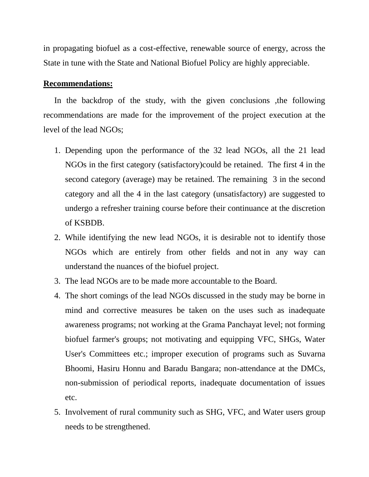in propagating biofuel as a cost-effective, renewable source of energy, across the State in tune with the State and National Biofuel Policy are highly appreciable.

#### **Recommendations:**

In the backdrop of the study, with the given conclusions ,the following recommendations are made for the improvement of the project execution at the level of the lead NGOs;

- 1. Depending upon the performance of the 32 lead NGOs, all the 21 lead NGOs in the first category (satisfactory)could be retained. The first 4 in the second category (average) may be retained. The remaining 3 in the second category and all the 4 in the last category (unsatisfactory) are suggested to undergo a refresher training course before their continuance at the discretion of KSBDB.
- 2. While identifying the new lead NGOs, it is desirable not to identify those NGOs which are entirely from other fields and not in any way can understand the nuances of the biofuel project.
- 3. The lead NGOs are to be made more accountable to the Board.
- 4. The short comings of the lead NGOs discussed in the study may be borne in mind and corrective measures be taken on the uses such as inadequate awareness programs; not working at the Grama Panchayat level; not forming biofuel farmer's groups; not motivating and equipping VFC, SHGs, Water User's Committees etc.; improper execution of programs such as Suvarna Bhoomi, Hasiru Honnu and Baradu Bangara; non-attendance at the DMCs, non-submission of periodical reports, inadequate documentation of issues etc.
- 5. Involvement of rural community such as SHG, VFC, and Water users group needs to be strengthened.